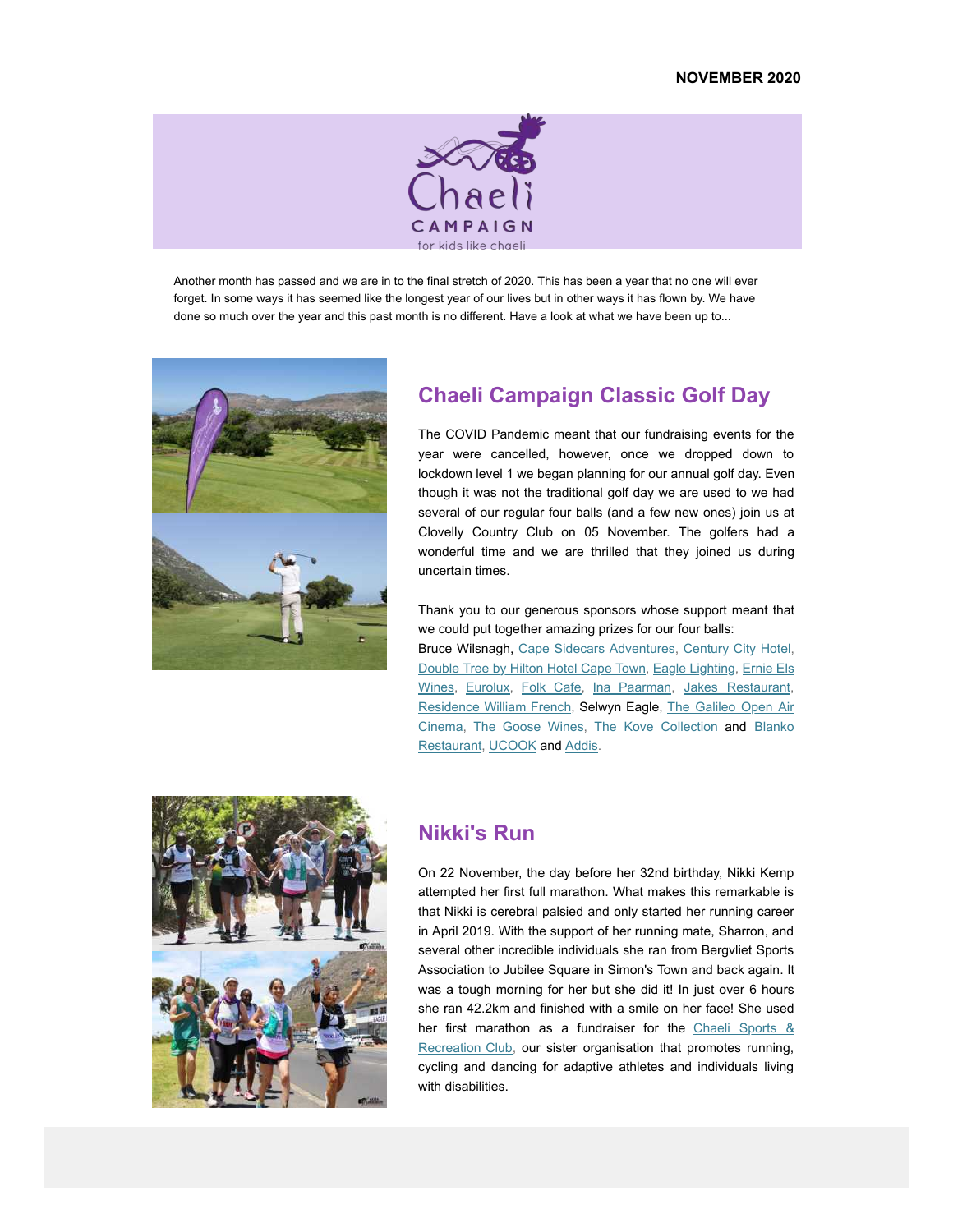

Another month has passed and we are in to the final stretch of 2020. This has been a year that no one will ever forget. In some ways it has seemed like the longest year of our lives but in other ways it has flown by. We have done so much over the year and this past month is no different. Have a look at what we have been up to...



# **Chaeli Campaign Classic Golf Day**

The COVID Pandemic meant that our fundraising events for the year were cancelled, however, once we dropped down to lockdown level 1 we began planning for our annual golf day. Even though it was not the traditional golf day we are used to we had several of our regular four balls (and a few new ones) join us at Clovelly Country Club on 05 November. The golfers had a wonderful time and we are thrilled that they joined us during uncertain times.

Thank you to our generous sponsors whose support meant that we could put together amazing prizes for our four balls:

Bruce Wilsnagh, Cape Sidecars Adventures, Century City Hotel, Double Tree by Hilton Hotel Cape Town, Eagle Lighting, Ernie Els Wines, Eurolux, Folk Cafe, Ina Paarman, Jakes Restaurant, Residence William French, Selwyn Eagle, The Galileo Open Air Cinema, The Goose Wines, The Kove Collection and Blanko Restaurant, UCOOK and Addis.



### **Nikki's Run**

On 22 November, the day before her 32nd birthday, Nikki Kemp attempted her first full marathon. What makes this remarkable is that Nikki is cerebral palsied and only started her running career in April 2019. With the support of her running mate, Sharron, and several other incredible individuals she ran from Bergvliet Sports Association to Jubilee Square in Simon's Town and back again. It was a tough morning for her but she did it! In just over 6 hours she ran 42.2km and finished with a smile on her face! She used her first marathon as a fundraiser for the Chaeli Sports & Recreation Club, our sister organisation that promotes running, cycling and dancing for adaptive athletes and individuals living with disabilities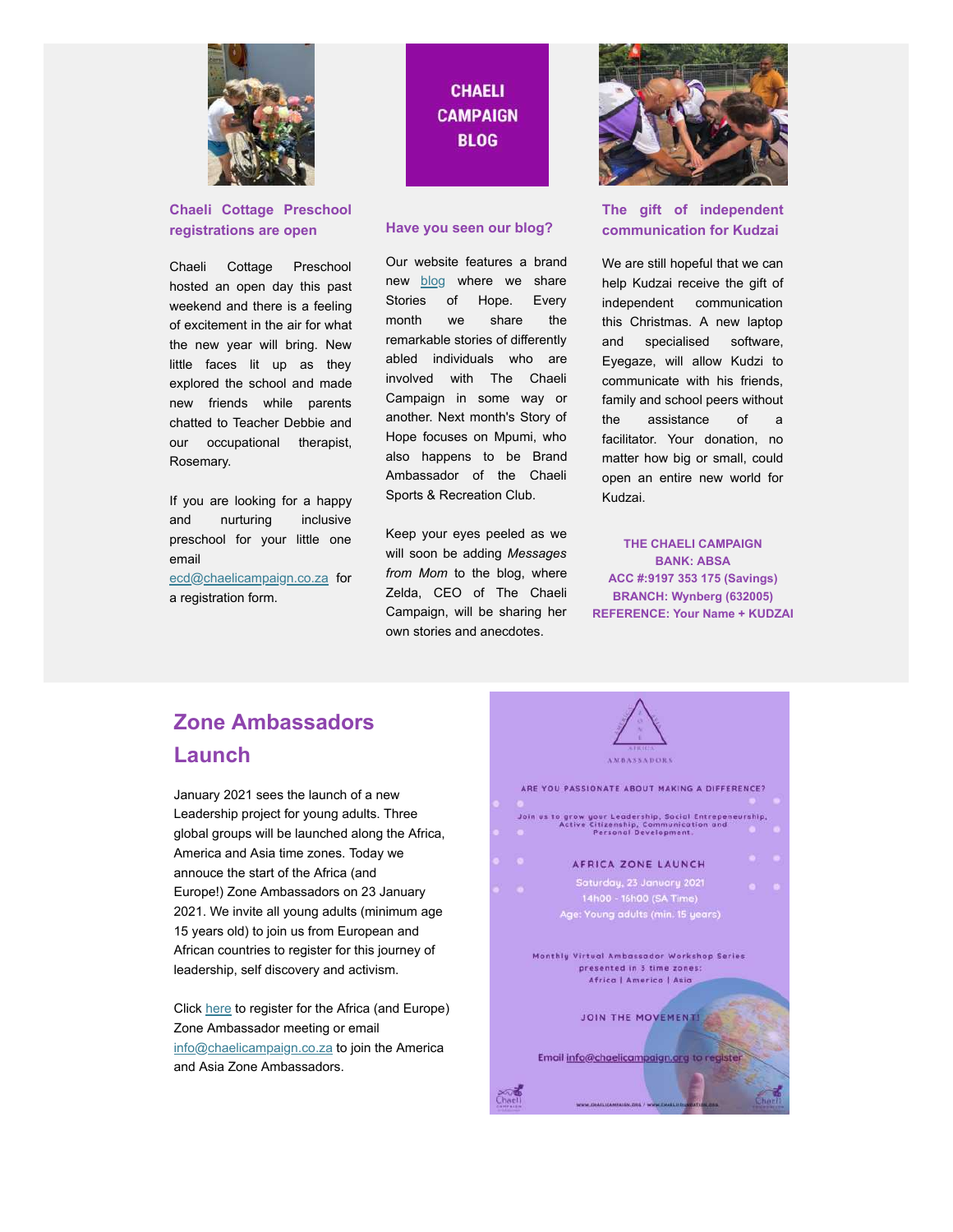

#### **Chaeli Cottage Preschool registrations are open**

Chaeli Cottage Preschool hosted an open day this past weekend and there is a feeling of excitement in the air for what the new year will bring. New little faces lit up as they explored the school and made new friends while parents chatted to Teacher Debbie and our occupational therapist, Rosemary.

If you are looking for a happy and nurturing inclusive preschool for your little one email

ecd@chaelicampaign.co.za for a registration form.

# **CHAELI CAMPAIGN BLOG**

#### **Have you seen our blog?**

Our website features a brand new **blog** where we share Stories of Hope. Every month we share the remarkable stories of differently abled individuals who are involved with The Chaeli Campaign in some way or another. Next month's Story of Hope focuses on Mpumi, who also happens to be Brand Ambassador of the Chaeli Sports & Recreation Club.

Keep your eyes peeled as we will soon be adding *Messages from Mom* to the blog, where Zelda, CEO of The Chaeli Campaign, will be sharing her own stories and anecdotes.



#### **The gift of independent communication for Kudzai**

We are still hopeful that we can help Kudzai receive the gift of independent communication this Christmas. A new laptop and specialised software, Eyegaze, will allow Kudzi to communicate with his friends, family and school peers without the assistance of a facilitator. Your donation, no matter how big or small, could open an entire new world for Kudzai.

**THE CHAELI CAMPAIGN BANK: ABSA ACC #:9197 353 175 (Savings) BRANCH: Wynberg (632005) REFERENCE: Your Name + KUDZAI**

# **Zone Ambassadors Launch**

January 2021 sees the launch of a new Leadership project for young adults. Three global groups will be launched along the Africa, America and Asia time zones. Today we annouce the start of the Africa (and Europe!) Zone Ambassadors on 23 January 2021. We invite all young adults (minimum age 15 years old) to join us from European and African countries to register for this journey of leadership, self discovery and activism.

Click here to register for the Africa (and Europe) Zone Ambassador meeting or email info@chaelicampaign.co.za to join the America and Asia Zone Ambassadors.